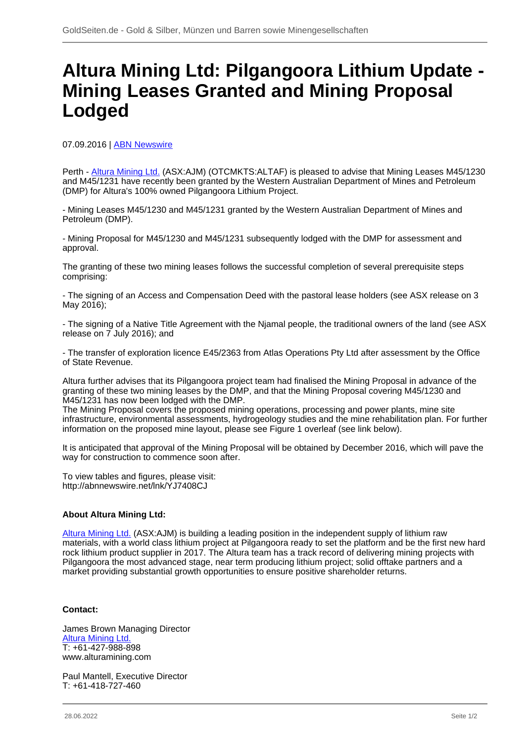## **Altura Mining Ltd: Pilgangoora Lithium Update - Mining Leases Granted and Mining Proposal Lodged**

07.09.2016 | [ABN Newswire](/profil/222--ABN-Newswire)

Perth - [Altura Mining Ltd.](/minen/769--Altura-Mining-Ltd) (ASX:AJM) (OTCMKTS:ALTAF) is pleased to advise that Mining Leases M45/1230 and M45/1231 have recently been granted by the Western Australian Department of Mines and Petroleum (DMP) for Altura's 100% owned Pilgangoora Lithium Project.

- Mining Leases M45/1230 and M45/1231 granted by the Western Australian Department of Mines and Petroleum (DMP).

- Mining Proposal for M45/1230 and M45/1231 subsequently lodged with the DMP for assessment and approval.

The granting of these two mining leases follows the successful completion of several prerequisite steps comprising:

- The signing of an Access and Compensation Deed with the pastoral lease holders (see ASX release on 3 May 2016):

- The signing of a Native Title Agreement with the Njamal people, the traditional owners of the land (see ASX release on 7 July 2016); and

- The transfer of exploration licence E45/2363 from Atlas Operations Pty Ltd after assessment by the Office of State Revenue.

Altura further advises that its Pilgangoora project team had finalised the Mining Proposal in advance of the granting of these two mining leases by the DMP, and that the Mining Proposal covering M45/1230 and M45/1231 has now been lodged with the DMP.

The Mining Proposal covers the proposed mining operations, processing and power plants, mine site infrastructure, environmental assessments, hydrogeology studies and the mine rehabilitation plan. For further information on the proposed mine layout, please see Figure 1 overleaf (see link below).

It is anticipated that approval of the Mining Proposal will be obtained by December 2016, which will pave the way for construction to commence soon after.

To view tables and figures, please visit: http://abnnewswire.net/lnk/YJ7408CJ

## **About Altura Mining Ltd:**

[Altura Mining Ltd.](/minen/769--Altura-Mining-Ltd) (ASX:AJM) is building a leading position in the independent supply of lithium raw materials, with a world class lithium project at Pilgangoora ready to set the platform and be the first new hard rock lithium product supplier in 2017. The Altura team has a track record of delivering mining projects with Pilgangoora the most advanced stage, near term producing lithium project; solid offtake partners and a market providing substantial growth opportunities to ensure positive shareholder returns.

## **Contact:**

James Brown Managing Director **[Altura Mining Ltd.](/minen/769--Altura-Mining-Ltd)** T: +61-427-988-898 www.alturamining.com

Paul Mantell, Executive Director T: +61-418-727-460